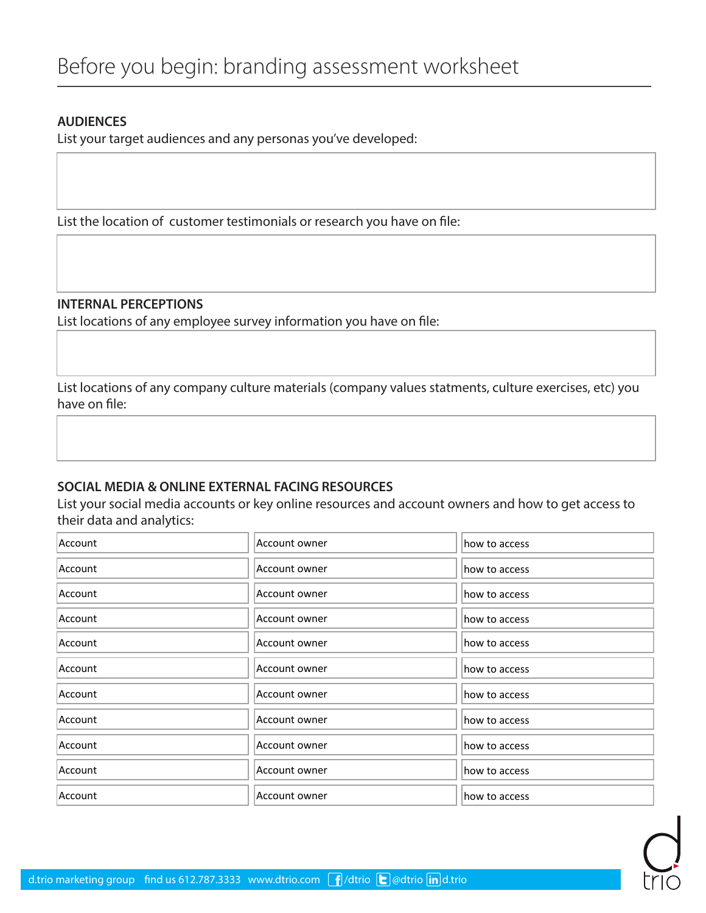## **AUDIENCES**

List your target audiences and any personas you've developed:

List the location of customer testimonials or research you have on file:

**INTERNAL PERCEPTIONS**

List locations of any employee survey information you have on file:

List locations of any company culture materials (company values statments, culture exercises, etc) you have on file:

## **SOCIAL MEDIA & ONLINE EXTERNAL FACING RESOURCES**

List your social media accounts or key online resources and account owners and how to get access to their data and analytics:

| Account | Account owner | how to access |
|---------|---------------|---------------|
| Account | Account owner | how to access |
| Account | Account owner | how to access |
| Account | Account owner | how to access |
| Account | Account owner | how to access |
| Account | Account owner | how to access |
| Account | Account owner | how to access |
| Account | Account owner | how to access |
| Account | Account owner | how to access |
| Account | Account owner | how to access |
| Account | Account owner | how to access |